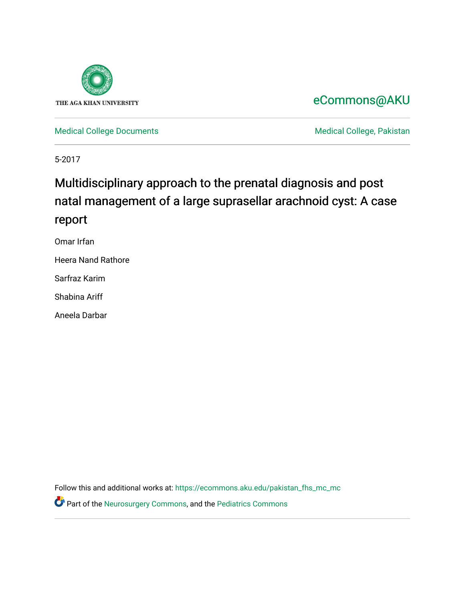

## [eCommons@AKU](https://ecommons.aku.edu/)

[Medical College Documents](https://ecommons.aku.edu/pakistan_fhs_mc_mc) **Medical College, Pakistan** 

5-2017

# Multidisciplinary approach to the prenatal diagnosis and post natal management of a large suprasellar arachnoid cyst: A case report

Omar Irfan

Heera Nand Rathore

Sarfraz Karim

Shabina Ariff

Aneela Darbar

Follow this and additional works at: [https://ecommons.aku.edu/pakistan\\_fhs\\_mc\\_mc](https://ecommons.aku.edu/pakistan_fhs_mc_mc?utm_source=ecommons.aku.edu%2Fpakistan_fhs_mc_mc%2F132&utm_medium=PDF&utm_campaign=PDFCoverPages) 

Part of the [Neurosurgery Commons,](http://network.bepress.com/hgg/discipline/1428?utm_source=ecommons.aku.edu%2Fpakistan_fhs_mc_mc%2F132&utm_medium=PDF&utm_campaign=PDFCoverPages) and the [Pediatrics Commons](http://network.bepress.com/hgg/discipline/700?utm_source=ecommons.aku.edu%2Fpakistan_fhs_mc_mc%2F132&utm_medium=PDF&utm_campaign=PDFCoverPages)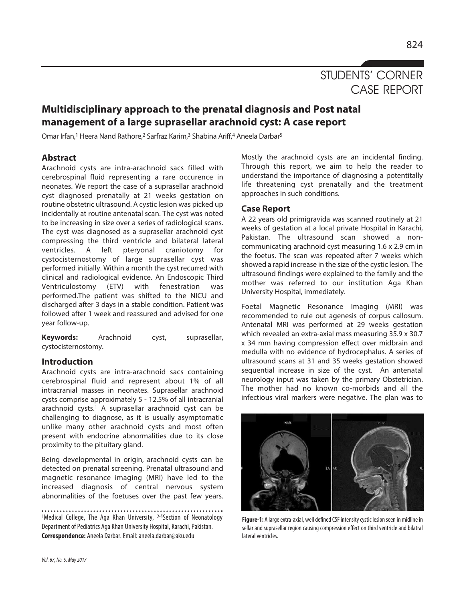## STUDENTS' CORNER CASE REPORT

### **Multidisciplinary approach to the prenatal diagnosis and Post natal management of a large suprasellar arachnoid cyst: A case report**

Omar Irfan,<sup>1</sup> Heera Nand Rathore,<sup>2</sup> Sarfraz Karim,<sup>3</sup> Shabina Ariff,<sup>4</sup> Aneela Darbar<sup>5</sup>

#### **Abstract**

Arachnoid cysts are intra-arachnoid sacs filled with cerebrospinal fluid representing a rare occurence in neonates. We report the case of a suprasellar arachnoid cyst diagnosed prenatally at 21 weeks gestation on routine obstetric ultrasound. A cystic lesion was picked up incidentally at routine antenatal scan. The cyst was noted to be increasing in size over a series of radiological scans. The cyst was diagnosed as a suprasellar arachnoid cyst compressing the third ventricle and bilateral lateral ventricles. A left pteryonal craniotomy for cystocisternostomy of large suprasellar cyst was performed initially. Within a month the cyst recurred with clinical and radiological evidence. An Endoscopic Third Ventriculostomy (ETV) with fenestration was performed.The patient was shifted to the NICU and discharged after 3 days in a stable condition. Patient was followed after 1 week and reassured and advised for one year follow-up.

**Keywords:** Arachnoid cyst, suprasellar, cystocisternostomy.

#### **Introduction**

Arachnoid cysts are intra-arachnoid sacs containing cerebrospinal fluid and represent about 1% of all intracranial masses in neonates. Suprasellar arachnoid cysts comprise approximately 5 - 12.5% of all intracranial arachnoid cysts.<sup>1</sup> A suprasellar arachnoid cyst can be challenging to diagnose, as it is usually asymptomatic unlike many other arachnoid cysts and most often present with endocrine abnormalities due to its close proximity to the pituitary gland.

Being developmental in origin, arachnoid cysts can be detected on prenatal screening. Prenatal ultrasound and magnetic resonance imaging (MRI) have led to the increased diagnosis of central nervous system abnormalities of the foetuses over the past few years.

1Medical College, The Aga Khan University, 2-5Section of Neonatology Department of Pediatrics Aga Khan University Hospital, Karachi, Pakistan. **Correspondence:** Aneela Darbar. Email: aneela.darbar@aku.edu

Mostly the arachnoid cysts are an incidental finding. Through this report, we aim to help the reader to understand the importance of diagnosing a potentitally life threatening cyst prenatally and the treatment approaches in such conditions.

#### **Case Report**

A 22 years old primigravida was scanned routinely at 21 weeks of gestation at a local private Hospital in Karachi, Pakistan. The ultrasound scan showed a noncommunicating arachnoid cyst measuring 1.6 x 2.9 cm in the foetus. The scan was repeated after 7 weeks which showed a rapid increase in the size of the cystic lesion. The ultrasound findings were explained to the family and the mother was referred to our institution Aga Khan University Hospital, immediately.

Foetal Magnetic Resonance Imaging (MRI) was recommended to rule out agenesis of corpus callosum. Antenatal MRI was performed at 29 weeks gestation which revealed an extra-axial mass measuring 35.9 x 30.7 x 34 mm having compression effect over midbrain and medulla with no evidence of hydrocephalus. A series of ultrasound scans at 31 and 35 weeks gestation showed sequential increase in size of the cyst. An antenatal neurology input was taken by the primary Obstetrician. The mother had no known co-morbids and all the infectious viral markers were negative. The plan was to



**Figure-1:** A large extra-axial, well defined CSF intensity cystic lesion seen in midline in sellar and suprasellar region causing compression effect on third ventricle and bilatral lateral ventricles.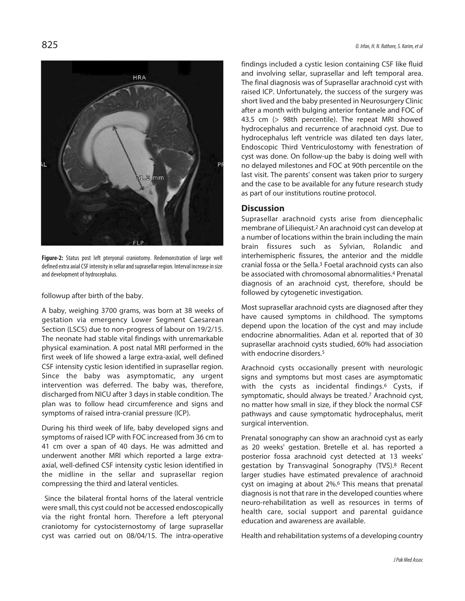

**Figure-2:** Status post left pteryonal craniotomy. Redemonstration of large well defined extra axial CSF intensity in sellar and suprasellar region. Interval increase in size and development of hydrocephalus.

followup after birth of the baby.

A baby, weighing 3700 grams, was born at 38 weeks of gestation via emergency Lower Segment Caesarean Section (LSCS) due to non-progress of labour on 19/2/15. The neonate had stable vital findings with unremarkable physical examination. A post natal MRI performed in the first week of life showed a large extra-axial, well defined CSF intensity cystic lesion identified in suprasellar region. Since the baby was asymptomatic, any urgent intervention was deferred. The baby was, therefore, discharged from NICU after 3 days in stable condition. The plan was to follow head circumference and signs and symptoms of raised intra-cranial pressure (ICP).

During his third week of life, baby developed signs and symptoms of raised ICP with FOC increased from 36 cm to 41 cm over a span of 40 days. He was admitted and underwent another MRI which reported a large extraaxial, well-defined CSF intensity cystic lesion identified in the midline in the sellar and suprasellar region compressing the third and lateral venticles.

Since the bilateral frontal horns of the lateral ventricle were small, this cyst could not be accessed endoscopically via the right frontal horn. Therefore a left pteryonal craniotomy for cystocisternostomy of large suprasellar cyst was carried out on 08/04/15. The intra-operative findings included a cystic lesion containing CSF like fluid and involving sellar, suprasellar and left temporal area. The final diagnosis was of Suprasellar arachnoid cyst with raised ICP. Unfortunately, the success of the surgery was short lived and the baby presented in Neurosurgery Clinic after a month with bulging anterior fontanele and FOC of 43.5 cm (> 98th percentile). The repeat MRI showed hydrocephalus and recurrence of arachnoid cyst. Due to hydrocephalus left ventricle was dilated ten days later, Endoscopic Third Ventriculostomy with fenestration of cyst was done. On follow-up the baby is doing well with no delayed milestones and FOC at 90th percentile on the last visit. The parents' consent was taken prior to surgery and the case to be available for any future research study as part of our institutions routine protocol.

#### **Discussion**

Suprasellar arachnoid cysts arise from diencephalic membrane of Liliequist.<sup>2</sup> An arachnoid cyst can develop at a number of locations within the brain including the main brain fissures such as Sylvian, Rolandic and interhemispheric fissures, the anterior and the middle cranial fossa or the Sella.<sup>3</sup> Foetal arachnoid cysts can also be associated with chromosomal abnormalities.<sup>4</sup> Prenatal diagnosis of an arachnoid cyst, therefore, should be followed by cytogenetic investigation.

Most suprasellar arachnoid cysts are diagnosed after they have caused symptoms in childhood. The symptoms depend upon the location of the cyst and may include endocrine abnormalities. Adan et al. reported that of 30 suprasellar arachnoid cysts studied, 60% had association with endocrine disorders<sup>5</sup>

Arachnoid cysts occasionally present with neurologic signs and symptoms but most cases are asymptomatic with the cysts as incidental findings.<sup>6</sup> Cysts, if symptomatic, should always be treated.<sup>7</sup> Arachnoid cyst, no matter how small in size, if they block the normal CSF pathways and cause symptomatic hydrocephalus, merit surgical intervention.

Prenatal sonography can show an arachnoid cyst as early as 20 weeks' gestation. Bretelle et al. has reported a posterior fossa arachnoid cyst detected at 13 weeks' gestation by Transvaginal Sonography (TVS).<sup>8</sup> Recent larger studies have estimated prevalence of arachnoid cyst on imaging at about 2%.<sup>6</sup> This means that prenatal diagnosis is not that rare in the developed counties where neuro-rehabilitation as well as resources in terms of health care, social support and parental guidance education and awareness are available.

Health and rehabilitation systems of a developing country